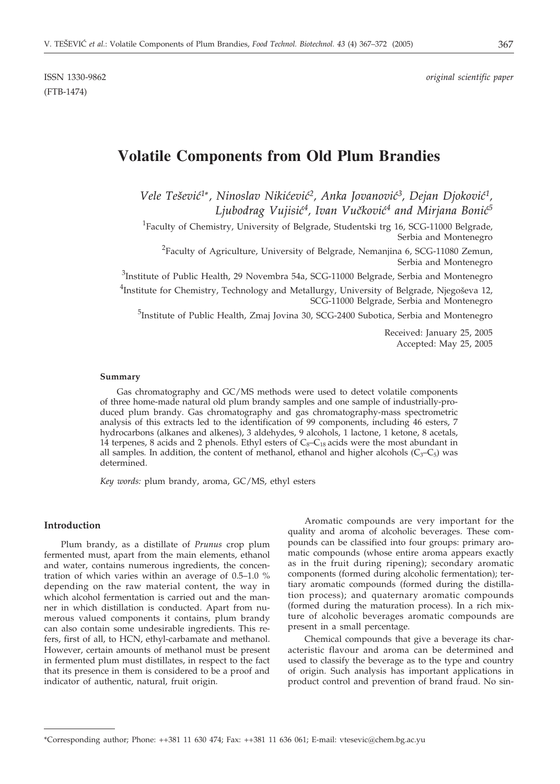ISSN 1330-9862 *original scientific paper*

# (FTB-1474)

## **Volatile Components from Old Plum Brandies**

*Vele Tešević<sup>1</sup>\*, Ninoslav Nikićević<sup>2</sup>, Anka Jovanović<sup>3</sup>, Dejan Djoković<sup>1</sup>,* Ljubodrag Vujisić<sup>4</sup>, Ivan Vučković<sup>4</sup> and Mirjana Bonić<sup>5</sup>

<sup>1</sup>Faculty of Chemistry, University of Belgrade, Studentski trg 16, SCG-11000 Belgrade, Serbia and Montenegro

<sup>2</sup> Faculty of Agriculture, University of Belgrade, Nemanjina 6, SCG-11080 Zemun, Serbia and Montenegro

 $^3$ Institute of Public Health, 29 Novembra 54a, SCG-11000 Belgrade, Serbia and Montenegro

<sup>4</sup>Institute for Chemistry, Technology and Metallurgy, University of Belgrade, Njegoševa 12, SCG-11000 Belgrade, Serbia and Montenegro

<sup>5</sup>Institute of Public Health, Zmaj Jovina 30, SCG-2400 Subotica, Serbia and Montenegro

Received: January 25, 2005 Accepted: May 25, 2005

#### **Summary**

Gas chromatography and GC/MS methods were used to detect volatile components of three home-made natural old plum brandy samples and one sample of industrially-produced plum brandy. Gas chromatography and gas chromatography-mass spectrometric analysis of this extracts led to the identification of 99 components, including 46 esters, 7 hydrocarbons (alkanes and alkenes), 3 aldehydes, 9 alcohols, 1 lactone, 1 ketone, 8 acetals, 14 terpenes, 8 acids and 2 phenols. Ethyl esters of  $C_8-C_{18}$  acids were the most abundant in all samples. In addition, the content of methanol, ethanol and higher alcohols  $(C_3-C_5)$  was determined.

*Key words:* plum brandy, aroma, GC/MS, ethyl esters

#### **Introduction**

Plum brandy, as a distillate of *Prunus* crop plum fermented must, apart from the main elements, ethanol and water, contains numerous ingredients, the concentration of which varies within an average of 0.5–1.0 % depending on the raw material content, the way in which alcohol fermentation is carried out and the manner in which distillation is conducted. Apart from numerous valued components it contains, plum brandy can also contain some undesirable ingredients. This refers, first of all, to HCN, ethyl-carbamate and methanol. However, certain amounts of methanol must be present in fermented plum must distillates, in respect to the fact that its presence in them is considered to be a proof and indicator of authentic, natural, fruit origin.

Aromatic compounds are very important for the quality and aroma of alcoholic beverages. These compounds can be classified into four groups: primary aromatic compounds (whose entire aroma appears exactly as in the fruit during ripening); secondary aromatic components (formed during alcoholic fermentation); tertiary aromatic compounds (formed during the distillation process); and quaternary aromatic compounds (formed during the maturation process). In a rich mixture of alcoholic beverages aromatic compounds are present in a small percentage.

Chemical compounds that give a beverage its characteristic flavour and aroma can be determined and used to classify the beverage as to the type and country of origin. Such analysis has important applications in product control and prevention of brand fraud. No sin-

<sup>\*</sup>Corresponding author; Phone: ++381 11 630 474; Fax: ++381 11 636 061; E-mail: vtesevic@chem.bg.ac.yu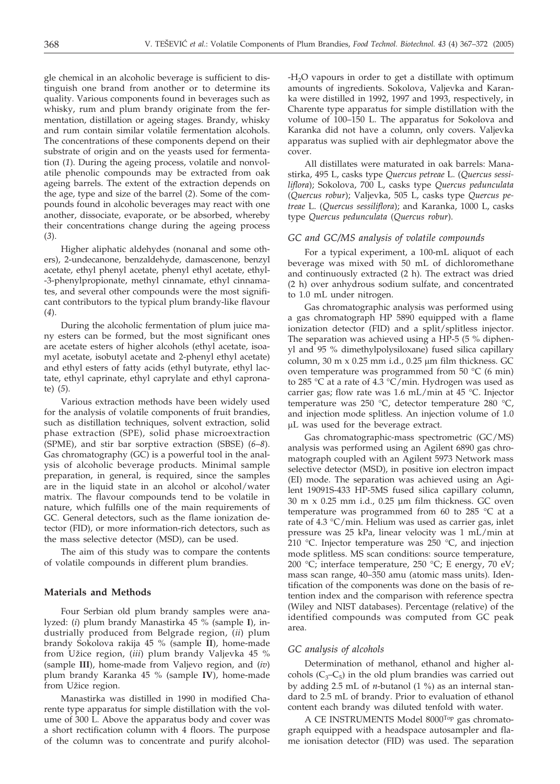gle chemical in an alcoholic beverage is sufficient to distinguish one brand from another or to determine its quality. Various components found in beverages such as whisky, rum and plum brandy originate from the fermentation, distillation or ageing stages. Brandy, whisky and rum contain similar volatile fermentation alcohols. The concentrations of these components depend on their substrate of origin and on the yeasts used for fermentation (*1*). During the ageing process, volatile and nonvolatile phenolic compounds may be extracted from oak ageing barrels. The extent of the extraction depends on the age, type and size of the barrel (*2*). Some of the compounds found in alcoholic beverages may react with one another, dissociate, evaporate, or be absorbed, whereby their concentrations change during the ageing process (*3*).

Higher aliphatic aldehydes (nonanal and some others), 2-undecanone, benzaldehyde, damascenone, benzyl acetate, ethyl phenyl acetate, phenyl ethyl acetate, ethyl- -3-phenylpropionate, methyl cinnamate, ethyl cinnamates, and several other compounds were the most significant contributors to the typical plum brandy-like flavour (*4*).

During the alcoholic fermentation of plum juice many esters can be formed, but the most significant ones are acetate esters of higher alcohols (ethyl acetate, isoamyl acetate, isobutyl acetate and 2-phenyl ethyl acetate) and ethyl esters of fatty acids (ethyl butyrate, ethyl lactate, ethyl caprinate, ethyl caprylate and ethyl capronate) (*5*).

Various extraction methods have been widely used for the analysis of volatile components of fruit brandies, such as distillation techniques, solvent extraction, solid phase extraction (SPE), solid phase microextraction (SPME), and stir bar sorptive extraction (SBSE) (*6*–*8*). Gas chromatography  $(GC)$  is a powerful tool in the analysis of alcoholic beverage products. Minimal sample preparation, in general, is required, since the samples are in the liquid state in an alcohol or alcohol/water matrix. The flavour compounds tend to be volatile in nature, which fulfills one of the main requirements of GC. General detectors, such as the flame ionization detector (FID), or more information-rich detectors, such as the mass selective detector (MSD), can be used.

The aim of this study was to compare the contents of volatile compounds in different plum brandies.

#### **Materials and Methods**

Four Serbian old plum brandy samples were analyzed: (*i*) plum brandy Manastirka 45 % (sample **I**), industrially produced from Belgrade region, (*ii*) plum brandy Sokolova rakija 45 % (sample **II**), home-made from Užice region, (*iii*) plum brandy Valjevka 45 % (sample **III**), home-made from Valjevo region, and (*iv*) plum brandy Karanka 45 % (sample **IV**), home-made from Užice region.

Manastirka was distilled in 1990 in modified Charente type apparatus for simple distillation with the volume of 300 L. Above the apparatus body and cover was a short rectification column with 4 floors. The purpose of the column was to concentrate and purify alcohol $-H<sub>2</sub>O$  vapours in order to get a distillate with optimum amounts of ingredients. Sokolova, Valjevka and Karanka were distilled in 1992, 1997 and 1993, respectively, in Charente type apparatus for simple distillation with the volume of 100–150 L. The apparatus for Sokolova and Karanka did not have a column, only covers. Valjevka apparatus was suplied with air dephlegmator above the cover.

All distillates were maturated in oak barrels: Manastirka, 495 L, casks type *Quercus petreae* L. (*Quercus sessiliflora*); Sokolova, 700 L, casks type *Quercus pedunculata* (*Quercus robur*); Valjevka, 505 L, casks type *Quercus petreae* L. (*Quercus sessiliflora*); and Karanka, 1000 L, casks type *Quercus pedunculata* (*Quercus robur*).

#### *GC and GC/MS analysis of volatile compounds*

For a typical experiment, a 100-mL aliquot of each beverage was mixed with 50 mL of dichloromethane and continuously extracted (2 h). The extract was dried (2 h) over anhydrous sodium sulfate, and concentrated to 1.0 mL under nitrogen.

Gas chromatographic analysis was performed using a gas chromatograph HP 5890 equipped with a flame ionization detector (FID) and a split/splitless injector. The separation was achieved using a HP-5 (5 % diphenyl and 95 % dimethylpolysiloxane) fused silica capillary column, 30 m  $\times$  0.25 mm i.d., 0.25  $\mu$ m film thickness. GC oven temperature was programmed from 50 °C (6 min) to 285 °C at a rate of 4.3 °C/min. Hydrogen was used as carrier gas; flow rate was 1.6 mL/min at 45 °C. Injector temperature was 250 °C, detector temperature 280 °C, and injection mode splitless. An injection volume of 1.0 L was used for the beverage extract.

Gas chromatographic-mass spectrometric (GC/MS) analysis was performed using an Agilent 6890 gas chromatograph coupled with an Agilent 5973 Network mass selective detector (MSD), in positive ion electron impact (EI) mode. The separation was achieved using an Agilent 19091S-433 HP-5MS fused silica capillary column, 30 m x 0.25 mm i.d., 0.25 µm film thickness. GC oven temperature was programmed from 60 to 285 °C at a rate of 4.3 °C/min. Helium was used as carrier gas, inlet pressure was 25 kPa, linear velocity was 1 mL/min at 210 °C. Injector temperature was 250 °C, and injection mode splitless. MS scan conditions: source temperature, 200 °C; interface temperature, 250 °C; E energy, 70 eV; mass scan range, 40–350 amu (atomic mass units). Identification of the components was done on the basis of retention index and the comparison with reference spectra (Wiley and NIST databases). Percentage (relative) of the identified compounds was computed from GC peak area.

#### *GC analysis of alcohols*

Determination of methanol, ethanol and higher alcohols  $(C_3 - C_5)$  in the old plum brandies was carried out by adding  $2.5$  mL of *n*-butanol  $(1 \%)$  as an internal standard to 2.5 mL of brandy. Prior to evaluation of ethanol content each brandy was diluted tenfold with water.

A CE INSTRUMENTS Model 8000Top gas chromatograph equipped with a headspace autosampler and flame ionisation detector (FID) was used. The separation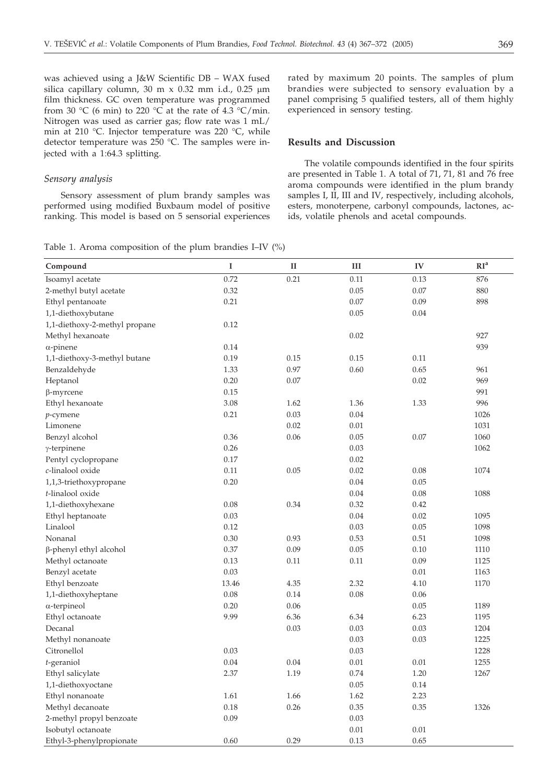was achieved using a J&W Scientific DB – WAX fused silica capillary column, 30 m x 0.32 mm i.d., 0.25  $\mu$ m film thickness. GC oven temperature was programmed from 30 °C (6 min) to 220 °C at the rate of 4.3 °C/min. Nitrogen was used as carrier gas; flow rate was 1 mL/ min at 210 °C. Injector temperature was 220 °C, while detector temperature was 250 °C. The samples were injected with a  $1:64.3$  splitting.

#### *Sensory analysis*

Sensory assessment of plum brandy samples was performed using modified Buxbaum model of positive ranking. This model is based on 5 sensorial experiences

Table 1. Aroma composition of the plum brandies I–IV (%)

rated by maximum 20 points. The samples of plum brandies were subjected to sensory evaluation by a panel comprising 5 qualified testers, all of them highly experienced in sensory testing.

#### **Results and Discussion**

The volatile compounds identified in the four spirits are presented in Table 1. A total of 71, 71, 81 and 76 free aroma compounds were identified in the plum brandy samples I, II, III and IV, respectively, including alcohols, esters, monoterpene, carbonyl compounds, lactones, acids, volatile phenols and acetal compounds.

| Compound                      | $\bf{I}$ | $\mathbf{I}$ | III  | IV   | RI <sup>a</sup> |
|-------------------------------|----------|--------------|------|------|-----------------|
| Isoamyl acetate               | 0.72     | 0.21         | 0.11 | 0.13 | 876             |
| 2-methyl butyl acetate        | 0.32     |              | 0.05 | 0.07 | 880             |
| Ethyl pentanoate              | 0.21     |              | 0.07 | 0.09 | 898             |
| 1,1-diethoxybutane            |          |              | 0.05 | 0.04 |                 |
| 1,1-diethoxy-2-methyl propane | 0.12     |              |      |      |                 |
| Methyl hexanoate              |          |              | 0.02 |      | 927             |
| $\alpha$ -pinene              | 0.14     |              |      |      | 939             |
| 1,1-diethoxy-3-methyl butane  | 0.19     | 0.15         | 0.15 | 0.11 |                 |
| Benzaldehyde                  | 1.33     | 0.97         | 0.60 | 0.65 | 961             |
| Heptanol                      | 0.20     | 0.07         |      | 0.02 | 969             |
| $\beta$ -myrcene              | 0.15     |              |      |      | 991             |
| Ethyl hexanoate               | 3.08     | 1.62         | 1.36 | 1.33 | 996             |
| $p$ -cymene                   | 0.21     | 0.03         | 0.04 |      | 1026            |
| Limonene                      |          | 0.02         | 0.01 |      | 1031            |
| Benzyl alcohol                | 0.36     | 0.06         | 0.05 | 0.07 | 1060            |
| $\gamma$ -terpinene           | 0.26     |              | 0.03 |      | 1062            |
| Pentyl cyclopropane           | 0.17     |              | 0.02 |      |                 |
| c-linalool oxide              | 0.11     | 0.05         | 0.02 | 0.08 | 1074            |
| 1,1,3-triethoxypropane        | 0.20     |              | 0.04 | 0.05 |                 |
| t-linalool oxide              |          |              | 0.04 | 0.08 | 1088            |
| 1,1-diethoxyhexane            | 0.08     | 0.34         | 0.32 | 0.42 |                 |
| Ethyl heptanoate              | 0.03     |              | 0.04 | 0.02 | 1095            |
| Linalool                      | 0.12     |              | 0.03 | 0.05 | 1098            |
| Nonanal                       | 0.30     | 0.93         | 0.53 | 0.51 | 1098            |
| β-phenyl ethyl alcohol        | 0.37     | 0.09         | 0.05 | 0.10 | 1110            |
| Methyl octanoate              | 0.13     | 0.11         | 0.11 | 0.09 | 1125            |
| Benzyl acetate                | 0.03     |              |      | 0.01 | 1163            |
| Ethyl benzoate                | 13.46    | 4.35         | 2.32 | 4.10 | 1170            |
| 1,1-diethoxyheptane           | 0.08     | 0.14         | 0.08 | 0.06 |                 |
| $\alpha$ -terpineol           | 0.20     | 0.06         |      | 0.05 | 1189            |
| Ethyl octanoate               | 9.99     | 6.36         | 6.34 | 6.23 | 1195            |
| Decanal                       |          | 0.03         | 0.03 | 0.03 | 1204            |
| Methyl nonanoate              |          |              | 0.03 | 0.03 | 1225            |
| Citronellol                   | 0.03     |              | 0.03 |      | 1228            |
| $t$ -geraniol                 | 0.04     | 0.04         | 0.01 | 0.01 | 1255            |
| Ethyl salicylate              | 2.37     | 1.19         | 0.74 | 1.20 | 1267            |
| 1,1-diethoxyoctane            |          |              | 0.05 | 0.14 |                 |
| Ethyl nonanoate               | 1.61     | 1.66         | 1.62 | 2.23 |                 |
| Methyl decanoate              | 0.18     | 0.26         | 0.35 | 0.35 | 1326            |
| 2-methyl propyl benzoate      | 0.09     |              | 0.03 |      |                 |
| Isobutyl octanoate            |          |              | 0.01 | 0.01 |                 |
| Ethyl-3-phenylpropionate      | 0.60     | 0.29         | 0.13 | 0.65 |                 |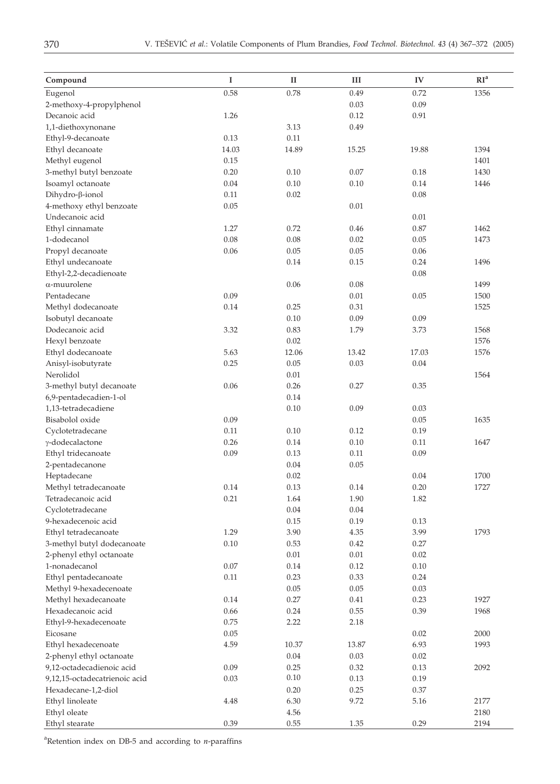| Compound                      | I     | $_{\rm II}$ | Ш     | IV    | RI <sup>a</sup> |
|-------------------------------|-------|-------------|-------|-------|-----------------|
| Eugenol                       | 0.58  | 0.78        | 0.49  | 0.72  | 1356            |
| 2-methoxy-4-propylphenol      |       |             | 0.03  | 0.09  |                 |
| Decanoic acid                 | 1.26  |             | 0.12  | 0.91  |                 |
| 1,1-diethoxynonane            |       | 3.13        | 0.49  |       |                 |
| Ethyl-9-decanoate             | 0.13  | 0.11        |       |       |                 |
| Ethyl decanoate               | 14.03 | 14.89       | 15.25 | 19.88 | 1394            |
| Methyl eugenol                | 0.15  |             |       |       | 1401            |
| 3-methyl butyl benzoate       | 0.20  | 0.10        | 0.07  | 0.18  | 1430            |
| Isoamyl octanoate             | 0.04  | 0.10        | 0.10  | 0.14  | 1446            |
| Dihydro-ß-ionol               | 0.11  | 0.02        |       | 0.08  |                 |
| 4-methoxy ethyl benzoate      | 0.05  |             | 0.01  |       |                 |
| Undecanoic acid               |       |             |       | 0.01  |                 |
| Ethyl cinnamate               | 1.27  | 0.72        | 0.46  | 0.87  | 1462            |
| 1-dodecanol                   | 0.08  | 0.08        | 0.02  | 0.05  | 1473            |
| Propyl decanoate              | 0.06  | 0.05        | 0.05  | 0.06  |                 |
| Ethyl undecanoate             |       | 0.14        | 0.15  | 0.24  | 1496            |
| Ethyl-2,2-decadienoate        |       |             |       | 0.08  |                 |
| α-muurolene                   |       | 0.06        | 0.08  |       | 1499            |
| Pentadecane                   | 0.09  |             | 0.01  | 0.05  | 1500            |
| Methyl dodecanoate            | 0.14  | 0.25        | 0.31  |       | 1525            |
| Isobutyl decanoate            |       | 0.10        | 0.09  | 0.09  |                 |
| Dodecanoic acid               | 3.32  | 0.83        | 1.79  | 3.73  | 1568            |
| Hexyl benzoate                |       | 0.02        |       |       | 1576            |
| Ethyl dodecanoate             | 5.63  | 12.06       | 13.42 | 17.03 | 1576            |
| Anisyl-isobutyrate            | 0.25  | 0.05        | 0.03  | 0.04  |                 |
| Nerolidol                     |       | 0.01        |       |       | 1564            |
| 3-methyl butyl decanoate      | 0.06  | 0.26        | 0.27  | 0.35  |                 |
| 6,9-pentadecadien-1-ol        |       | 0.14        |       |       |                 |
| 1,13-tetradecadiene           |       | 0.10        | 0.09  | 0.03  |                 |
| Bisabolol oxide               | 0.09  |             |       | 0.05  | 1635            |
| Cyclotetradecane              | 0.11  | 0.10        | 0.12  | 0.19  |                 |
| γ-dodecalactone               | 0.26  | 0.14        | 0.10  | 0.11  | 1647            |
| Ethyl tridecanoate            | 0.09  | 0.13        | 0.11  | 0.09  |                 |
| 2-pentadecanone               |       | 0.04        | 0.05  |       |                 |
| Heptadecane                   |       | 0.02        |       | 0.04  | 1700            |
| Methyl tetradecanoate         | 0.14  | 0.13        | 0.14  | 0.20  | 1727            |
| Tetradecanoic acid            | 0.21  | 1.64        | 1.90  | 1.82  |                 |
| Cyclotetradecane              |       | $0.04\,$    | 0.04  |       |                 |
| 9-hexadecenoic acid           |       | 0.15        | 0.19  | 0.13  |                 |
| Ethyl tetradecanoate          | 1.29  | 3.90        | 4.35  | 3.99  | 1793            |
| 3-methyl butyl dodecanoate    | 0.10  | 0.53        | 0.42  | 0.27  |                 |
| 2-phenyl ethyl octanoate      |       | 0.01        | 0.01  | 0.02  |                 |
| 1-nonadecanol                 | 0.07  | 0.14        | 0.12  | 0.10  |                 |
| Ethyl pentadecanoate          | 0.11  | 0.23        | 0.33  | 0.24  |                 |
| Methyl 9-hexadecenoate        |       | 0.05        | 0.05  | 0.03  |                 |
| Methyl hexadecanoate          | 0.14  | 0.27        | 0.41  | 0.23  | 1927            |
| Hexadecanoic acid             | 0.66  | 0.24        | 0.55  | 0.39  | 1968            |
| Ethyl-9-hexadecenoate         | 0.75  | 2.22        | 2.18  |       |                 |
| Eicosane                      | 0.05  |             |       | 0.02  | 2000            |
| Ethyl hexadecenoate           | 4.59  | 10.37       | 13.87 | 6.93  | 1993            |
| 2-phenyl ethyl octanoate      |       | 0.04        | 0.03  | 0.02  |                 |
| 9,12-octadecadienoic acid     | 0.09  | 0.25        | 0.32  | 0.13  | 2092            |
| 9,12,15-octadecatrienoic acid | 0.03  | 0.10        | 0.13  | 0.19  |                 |
| Hexadecane-1,2-diol           |       | 0.20        | 0.25  | 0.37  |                 |
| Ethyl linoleate               | 4.48  | 6.30        | 9.72  | 5.16  | 2177            |
| Ethyl oleate                  |       | 4.56        |       |       | 2180            |
| Ethyl stearate                | 0.39  | 0.55        | 1.35  | 0.29  | 2194            |
|                               |       |             |       |       |                 |

a Retention index on DB-5 and according to *n*-paraffins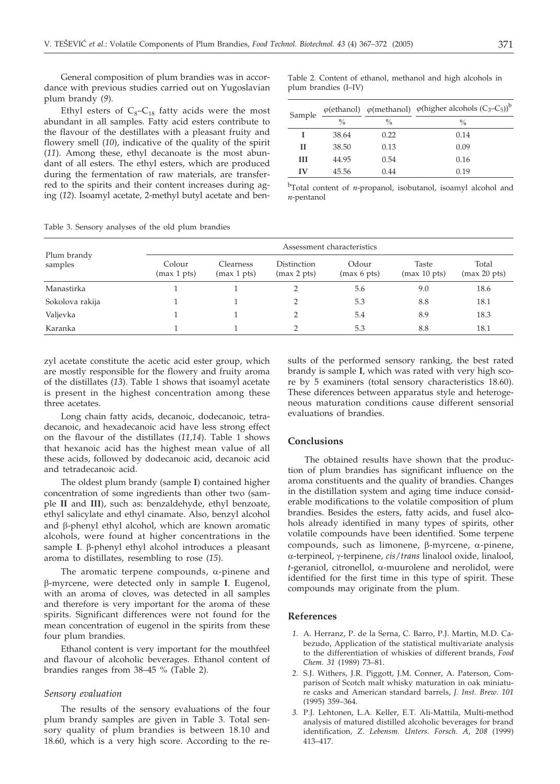General composition of plum brandies was in accordance with previous studies carried out on Yugoslavian plum brandy (*9*).

Ethyl esters of  $C_8-C_{18}$  fatty acids were the most abundant in all samples. Fatty acid esters contribute to the flavour of the destillates with a pleasant fruity and flowery smell (*10*), indicative of the quality of the spirit (*11*). Among these, ethyl decanoate is the most abundant of all esters. The ethyl esters, which are produced during the fermentation of raw materials, are transferred to the spirits and their content increases during aging (*12*). Isoamyl acetate, 2-methyl butyl acetate and benTable 2. Content of ethanol, methanol and high alcohols in plum brandies (I–IV)

| Sample |               |               | $\varphi$ (ethanol) $\varphi$ (methanol) $\varphi$ (higher alcohols (C <sub>3</sub> -C <sub>5</sub> )) <sup>b</sup> |  |  |
|--------|---------------|---------------|---------------------------------------------------------------------------------------------------------------------|--|--|
|        | $\frac{0}{0}$ | $\frac{0}{0}$ | $\frac{0}{0}$                                                                                                       |  |  |
|        | 38.64         | 0.22          | 0.14                                                                                                                |  |  |
| Н      | 38.50         | 0.13          | 0.09                                                                                                                |  |  |
| Ш      | 44.95         | 0.54          | 0.16                                                                                                                |  |  |
| IV     | 45.56         | 0.44          | 0.19                                                                                                                |  |  |

b Total content of *n*-propanol, isobutanol, isoamyl alcohol and *n*-pentanol

| racie of occupory analyses of the old praint changing |                            |                                 |                            |                      |                                 |                       |  |
|-------------------------------------------------------|----------------------------|---------------------------------|----------------------------|----------------------|---------------------------------|-----------------------|--|
| Plum brandy<br>samples                                | Assessment characteristics |                                 |                            |                      |                                 |                       |  |
|                                                       | Colour<br>(max 1 pts)      | <b>Clearness</b><br>(max 1 pts) | Distinction<br>(max 2 pts) | Odour<br>(max 6 pts) | Taste<br>$(max 10 \text{ pts})$ | Total<br>(max 20 pts) |  |
| Manastirka                                            |                            |                                 |                            | 5.6                  | 9.0                             | 18.6                  |  |
| Sokolova rakija                                       |                            |                                 |                            | 5.3                  | 8.8                             | 18.1                  |  |
| Valjevka                                              |                            |                                 |                            | 5.4                  | 8.9                             | 18.3                  |  |
| Karanka                                               |                            |                                 |                            | 5.3                  | 8.8                             | 18.1                  |  |

Table 3. Sensory analyses of the old plum brandies

zyl acetate constitute the acetic acid ester group, which are mostly responsible for the flowery and fruity aroma of the distillates (*13*). Table 1 shows that isoamyl acetate is present in the highest concentration among these three acetates.

Long chain fatty acids, decanoic, dodecanoic, tetradecanoic, and hexadecanoic acid have less strong effect on the flavour of the distillates (*11*,*14*). Table 1 shows that hexanoic acid has the highest mean value of all these acids, followed by dodecanoic acid, decanoic acid and tetradecanoic acid.

The oldest plum brandy (sample **I**) contained higher concentration of some ingredients than other two (sample **II** and **III**), such as: benzaldehyde, ethyl benzoate, ethyl salicylate and ethyl cinamate. Also, benzyl alcohol and  $\beta$ -phenyl ethyl alcohol, which are known aromatic alcohols, were found at higher concentrations in the sample  $I$ .  $\beta$ -phenyl ethyl alcohol introduces a pleasant aroma to distillates, resembling to rose (*15*).

The aromatic terpene compounds,  $\alpha$ -pinene and -myrcene, were detected only in sample **I**. Eugenol, with an aroma of cloves, was detected in all samples and therefore is very important for the aroma of these spirits. Significant differences were not found for the mean concentration of eugenol in the spirits from these four plum brandies.

Ethanol content is very important for the mouthfeel and flavour of alcoholic beverages. Ethanol content of brandies ranges from 38–45 % (Table 2).

#### *Sensory evaluation*

The results of the sensory evaluations of the four plum brandy samples are given in Table 3. Total sensory quality of plum brandies is between 18.10 and 18.60, which is a very high score. According to the results of the performed sensory ranking, the best rated brandy is sample **I**, which was rated with very high score by 5 examiners (total sensory characteristics 18.60). These diferences between apparatus style and heterogeneous maturation conditions cause different sensorial evaluations of brandies.

#### **Conclusions**

The obtained results have shown that the production of plum brandies has significant influence on the aroma constituents and the quality of brandies. Changes in the distillation system and aging time induce considerable modifications to the volatile composition of plum brandies. Besides the esters, fatty acids, and fusel alcohols already identified in many types of spirits, other volatile compounds have been identified. Some terpene compounds, such as limonene,  $\beta$ -myrcene,  $\alpha$ -pinene, -terpineol, -terpinene, *cis*/*trans* linalool oxide, linalool, *t*-geraniol, citronellol, α-muurolene and nerolidol, were identified for the first time in this type of spirit. These compounds may originate from the plum.

#### **References**

- *1.* A. Herranz, P. de la Serna, C. Barro, P.J. Martin, M.D. Cabezudo, Application of the statistical multivariate analysis to the differentiation of whiskies of different brands, *Food Chem. 31* (1989) 73–81.
- *2.* S.J. Withers, J.R. Piggott, J.M. Conner, A. Paterson, Comparison of Scotch malt whisky maturation in oak miniature casks and American standard barrels, *J. Inst. Brew*. *101* (1995) 359–364.
- *3.* P.J. Lehtonen, L.A. Keller, E.T. Ali-Mattila, Multi-method analysis of matured distilled alcoholic beverages for brand identification, *Z. Lebensm. Unters. Forsch. A*, *208* (1999) 413–417.